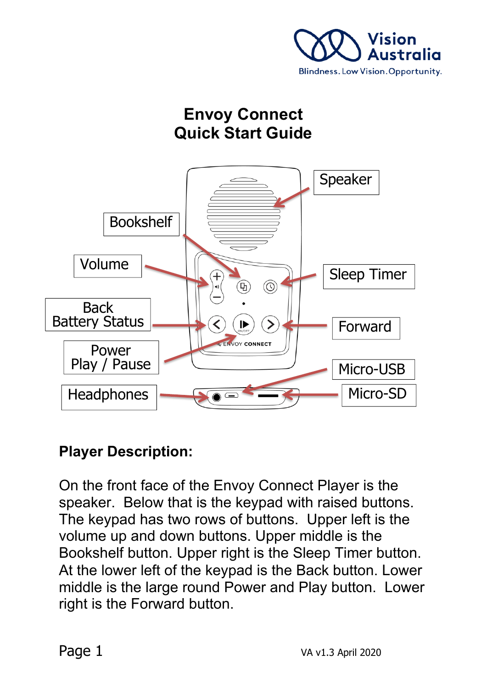

# **Envoy Connect Quick Start Guide**



### **Player Description:**

On the front face of the Envoy Connect Player is the speaker. Below that is the keypad with raised buttons. The keypad has two rows of buttons. Upper left is the volume up and down buttons. Upper middle is the Bookshelf button. Upper right is the Sleep Timer button. At the lower left of the keypad is the Back button. Lower middle is the large round Power and Play button. Lower right is the Forward button.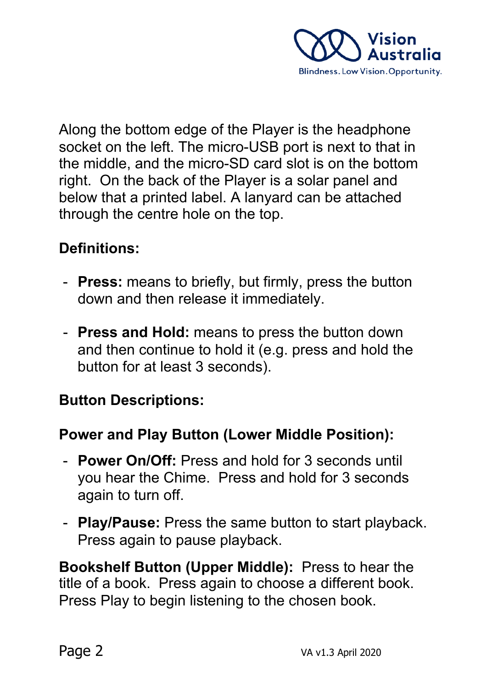

Along the bottom edge of the Player is the headphone socket on the left. The micro-USB port is next to that in the middle, and the micro-SD card slot is on the bottom right. On the back of the Player is a solar panel and below that a printed label. A lanyard can be attached through the centre hole on the top.

#### **Definitions:**

- **Press:** means to briefly, but firmly, press the button down and then release it immediately.
- **Press and Hold:** means to press the button down and then continue to hold it (e.g. press and hold the button for at least 3 seconds).

### **Button Descriptions:**

#### **Power and Play Button (Lower Middle Position):**

- **Power On/Off:** Press and hold for 3 seconds until you hear the Chime. Press and hold for 3 seconds again to turn off.
- **Play/Pause:** Press the same button to start playback. Press again to pause playback.

**Bookshelf Button (Upper Middle):** Press to hear the title of a book. Press again to choose a different book. Press Play to begin listening to the chosen book.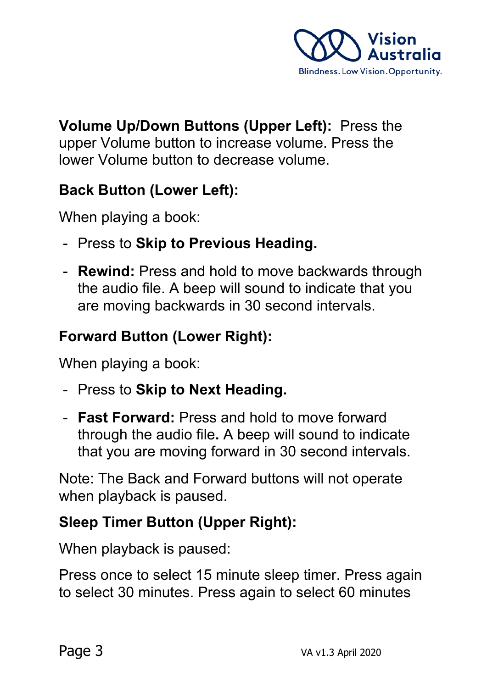

**Volume Up/Down Buttons (Upper Left):** Press the upper Volume button to increase volume. Press the lower Volume button to decrease volume.

### **Back Button (Lower Left):**

When playing a book:

- Press to **Skip to Previous Heading.**
- **Rewind:** Press and hold to move backwards through the audio file. A beep will sound to indicate that you are moving backwards in 30 second intervals.

### **Forward Button (Lower Right):**

When playing a book:

- Press to **Skip to Next Heading.**
- **Fast Forward:** Press and hold to move forward through the audio file**.** A beep will sound to indicate that you are moving forward in 30 second intervals.

Note: The Back and Forward buttons will not operate when playback is paused.

### **Sleep Timer Button (Upper Right):**

When playback is paused:

Press once to select 15 minute sleep timer. Press again to select 30 minutes. Press again to select 60 minutes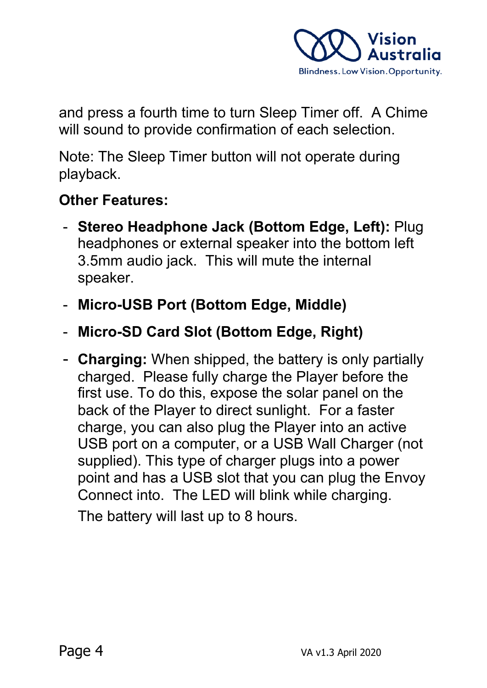

and press a fourth time to turn Sleep Timer off. A Chime will sound to provide confirmation of each selection.

Note: The Sleep Timer button will not operate during playback.

## **Other Features:**

- **Stereo Headphone Jack (Bottom Edge, Left):** Plug headphones or external speaker into the bottom left 3.5mm audio jack. This will mute the internal speaker.
- **Micro-USB Port (Bottom Edge, Middle)**
- **Micro-SD Card Slot (Bottom Edge, Right)**
- **Charging:** When shipped, the battery is only partially charged. Please fully charge the Player before the first use. To do this, expose the solar panel on the back of the Player to direct sunlight. For a faster charge, you can also plug the Player into an active USB port on a computer, or a USB Wall Charger (not supplied). This type of charger plugs into a power point and has a USB slot that you can plug the Envoy Connect into. The LED will blink while charging.

The battery will last up to 8 hours.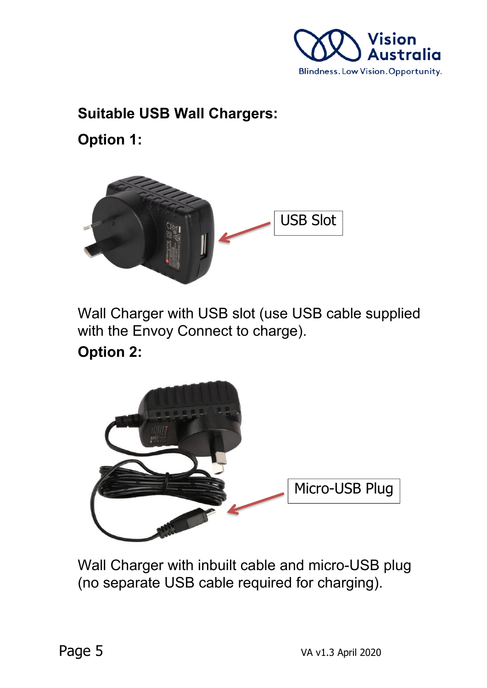

## **Suitable USB Wall Chargers:**

**Option 1:**



Wall Charger with USB slot (use USB cable supplied with the Envoy Connect to charge).

**Option 2:**



Wall Charger with inbuilt cable and micro-USB plug (no separate USB cable required for charging).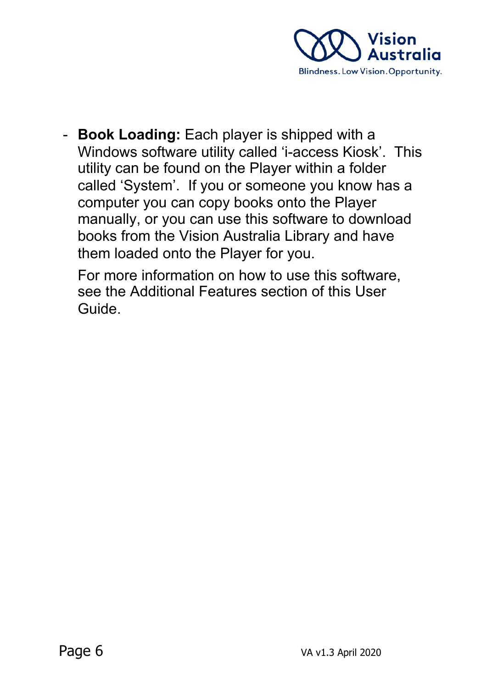

- **Book Loading:** Each player is shipped with a Windows software utility called 'i-access Kiosk'. This utility can be found on the Player within a folder called 'System'. If you or someone you know has a computer you can copy books onto the Player manually, or you can use this software to download books from the Vision Australia Library and have them loaded onto the Player for you.

For more information on how to use this software, see the Additional Features section of this User Guide.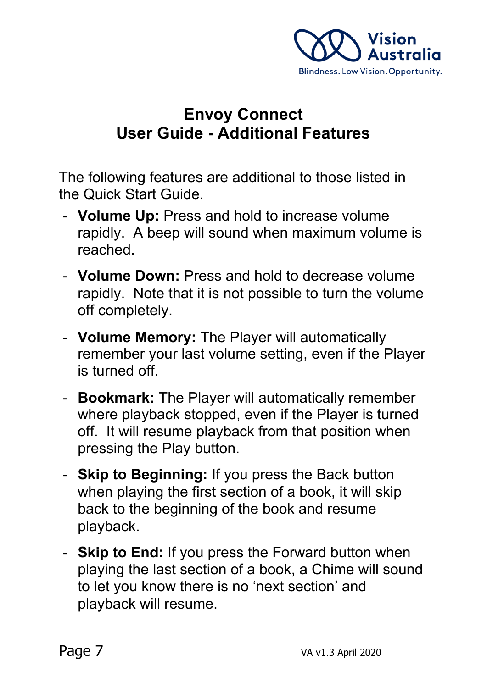

# **Envoy Connect User Guide - Additional Features**

The following features are additional to those listed in the Quick Start Guide.

- **Volume Up:** Press and hold to increase volume rapidly. A beep will sound when maximum volume is reached.
- **Volume Down:** Press and hold to decrease volume rapidly. Note that it is not possible to turn the volume off completely.
- **Volume Memory:** The Player will automatically remember your last volume setting, even if the Player is turned off.
- **Bookmark:** The Player will automatically remember where playback stopped, even if the Player is turned off. It will resume playback from that position when pressing the Play button.
- **Skip to Beginning:** If you press the Back button when playing the first section of a book, it will skip back to the beginning of the book and resume playback.
- **Skip to End:** If you press the Forward button when playing the last section of a book, a Chime will sound to let you know there is no 'next section' and playback will resume.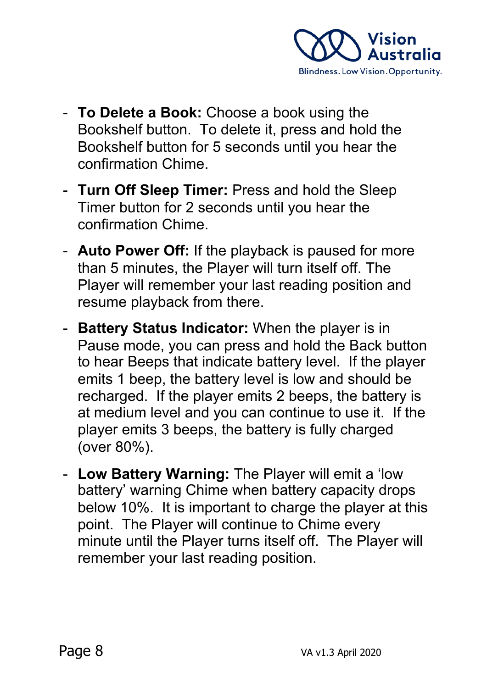

- **To Delete a Book:** Choose a book using the Bookshelf button. To delete it, press and hold the Bookshelf button for 5 seconds until you hear the confirmation Chime.
- **Turn Off Sleep Timer:** Press and hold the Sleep Timer button for 2 seconds until you hear the confirmation Chime.
- **Auto Power Off:** If the playback is paused for more than 5 minutes, the Player will turn itself off. The Player will remember your last reading position and resume playback from there.
- **Battery Status Indicator:** When the player is in Pause mode, you can press and hold the Back button to hear Beeps that indicate battery level. If the player emits 1 beep, the battery level is low and should be recharged.If the player emits 2 beeps, the battery is at medium level and you can continue to use it. If the player emits 3 beeps, the battery is fully charged (over 80%).
- **Low Battery Warning:** The Player will emit a 'low battery' warning Chime when battery capacity drops below 10%. It is important to charge the player at this point. The Player will continue to Chime every minute until the Player turns itself off. The Player will remember your last reading position.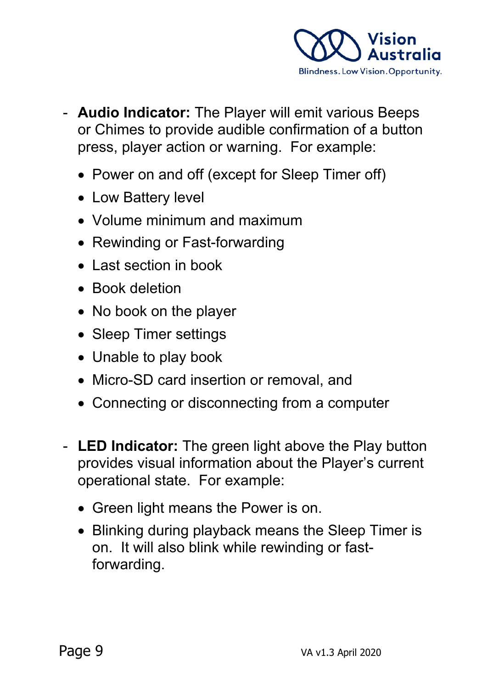

- **Audio Indicator:** The Player will emit various Beeps or Chimes to provide audible confirmation of a button press, player action or warning. For example:
	- Power on and off (except for Sleep Timer off)
	- Low Battery level
	- Volume minimum and maximum
	- Rewinding or Fast-forwarding
	- Last section in book
	- Book deletion
	- No book on the player
	- Sleep Timer settings
	- Unable to play book
	- Micro-SD card insertion or removal, and
	- Connecting or disconnecting from a computer
- **LED Indicator:** The green light above the Play button provides visual information about the Player's current operational state. For example:
	- Green light means the Power is on.
	- Blinking during playback means the Sleep Timer is on. It will also blink while rewinding or fastforwarding.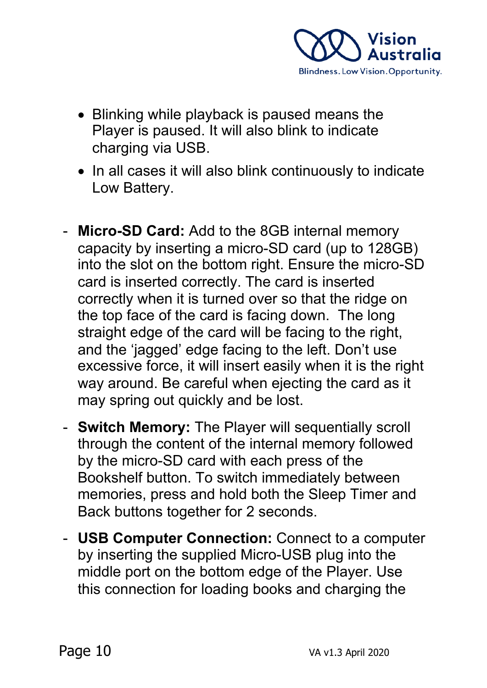

- Blinking while playback is paused means the Player is paused. It will also blink to indicate charging via USB.
- In all cases it will also blink continuously to indicate Low Battery.
- **Micro-SD Card:** Add to the 8GB internal memory capacity by inserting a micro-SD card (up to 128GB) into the slot on the bottom right. Ensure the micro-SD card is inserted correctly. The card is inserted correctly when it is turned over so that the ridge on the top face of the card is facing down. The long straight edge of the card will be facing to the right, and the 'jagged' edge facing to the left. Don't use excessive force, it will insert easily when it is the right way around. Be careful when ejecting the card as it may spring out quickly and be lost.
- **Switch Memory:** The Player will sequentially scroll through the content of the internal memory followed by the micro-SD card with each press of the Bookshelf button. To switch immediately between memories, press and hold both the Sleep Timer and Back buttons together for 2 seconds.
- **USB Computer Connection:** Connect to a computer by inserting the supplied Micro-USB plug into the middle port on the bottom edge of the Player. Use this connection for loading books and charging the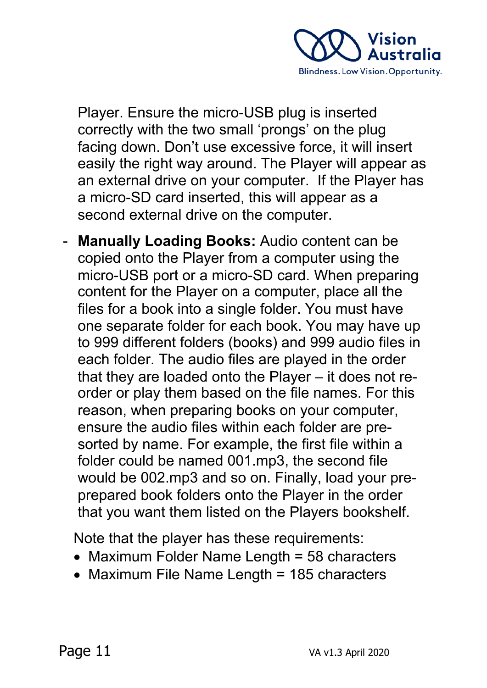

Player. Ensure the micro-USB plug is inserted correctly with the two small 'prongs' on the plug facing down. Don't use excessive force, it will insert easily the right way around. The Player will appear as an external drive on your computer. If the Player has a micro-SD card inserted, this will appear as a second external drive on the computer.

- **Manually Loading Books:** Audio content can be copied onto the Player from a computer using the micro-USB port or a micro-SD card. When preparing content for the Player on a computer, place all the files for a book into a single folder. You must have one separate folder for each book. You may have up to 999 different folders (books) and 999 audio files in each folder. The audio files are played in the order that they are loaded onto the Player – it does not reorder or play them based on the file names. For this reason, when preparing books on your computer, ensure the audio files within each folder are presorted by name. For example, the first file within a folder could be named 001.mp3, the second file would be 002.mp3 and so on. Finally, load your preprepared book folders onto the Player in the order that you want them listed on the Players bookshelf.

Note that the player has these requirements:

- Maximum Folder Name Length = 58 characters
- Maximum File Name Length = 185 characters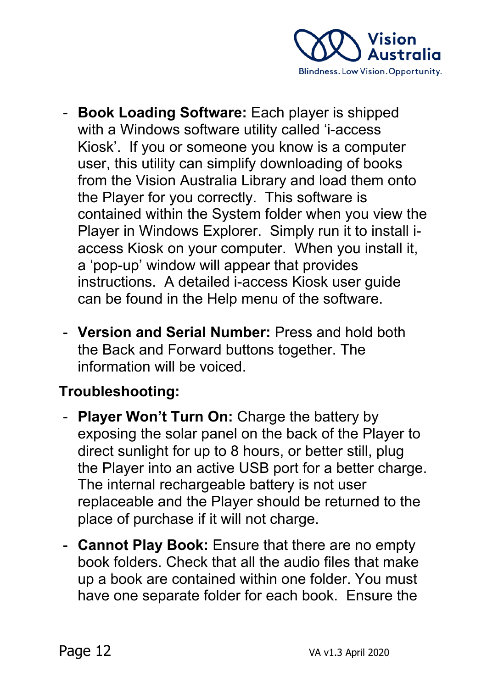

- **Book Loading Software:** Each player is shipped with a Windows software utility called 'i-access Kiosk'. If you or someone you know is a computer user, this utility can simplify downloading of books from the Vision Australia Library and load them onto the Player for you correctly. This software is contained within the System folder when you view the Player in Windows Explorer. Simply run it to install iaccess Kiosk on your computer. When you install it, a 'pop-up' window will appear that provides instructions. A detailed i-access Kiosk user guide can be found in the Help menu of the software.
- **Version and Serial Number:** Press and hold both the Back and Forward buttons together. The information will be voiced.

# **Troubleshooting:**

- **Player Won't Turn On: Charge the battery by** exposing the solar panel on the back of the Player to direct sunlight for up to 8 hours, or better still, plug the Player into an active USB port for a better charge. The internal rechargeable battery is not user replaceable and the Player should be returned to the place of purchase if it will not charge.
- **Cannot Play Book:** Ensure that there are no empty book folders. Check that all the audio files that make up a book are contained within one folder. You must have one separate folder for each book. Ensure the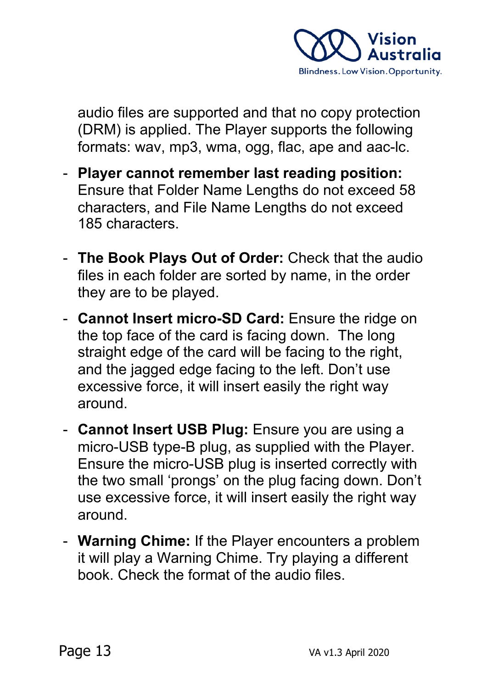

audio files are supported and that no copy protection (DRM) is applied. The Player supports the following formats: wav, mp3, wma, ogg, flac, ape and aac-lc.

- **Player cannot remember last reading position:** Ensure that Folder Name Lengths do not exceed 58 characters, and File Name Lengths do not exceed 185 characters.
- **The Book Plays Out of Order:** Check that the audio files in each folder are sorted by name, in the order they are to be played.
- **Cannot Insert micro-SD Card:** Ensure the ridge on the top face of the card is facing down. The long straight edge of the card will be facing to the right, and the jagged edge facing to the left. Don't use excessive force, it will insert easily the right way around.
- **Cannot Insert USB Plug:** Ensure you are using a micro-USB type-B plug, as supplied with the Player. Ensure the micro-USB plug is inserted correctly with the two small 'prongs' on the plug facing down. Don't use excessive force, it will insert easily the right way around.
- **Warning Chime:** If the Player encounters a problem it will play a Warning Chime. Try playing a different book. Check the format of the audio files.